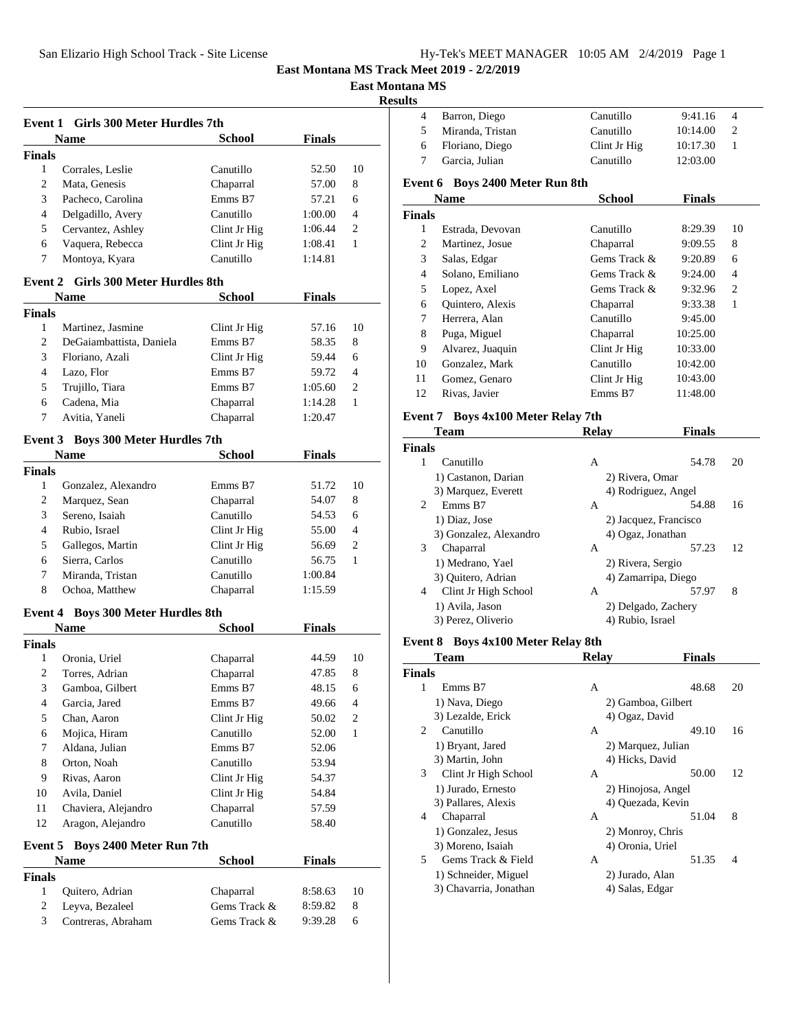| Hy-Tek's MEET MANAGER 10:05 AM 2/4/2019 Page 1 |  |  |  |
|------------------------------------------------|--|--|--|
|------------------------------------------------|--|--|--|

**East Montana MS**

**Results**

|                                                      | Event 1 Girls 300 Meter Hurdles 7th       |               |               |                |
|------------------------------------------------------|-------------------------------------------|---------------|---------------|----------------|
|                                                      | <b>Name</b>                               | <b>School</b> | <b>Finals</b> |                |
| <b>Finals</b>                                        |                                           |               |               |                |
| 1                                                    | Corrales, Leslie                          | Canutillo     | 52.50         | 10             |
| 2                                                    | Mata, Genesis                             | Chaparral     | 57.00         | 8              |
| 3                                                    | Pacheco, Carolina                         | Emms B7       | 57.21         | 6              |
| 4                                                    | Delgadillo, Avery                         | Canutillo     | 1:00.00       | 4              |
| 5                                                    | Cervantez, Ashley                         | Clint Jr Hig  | 1:06.44       | 2              |
| 6                                                    | Vaquera, Rebecca                          | Clint Jr Hig  | 1:08.41       | 1              |
| 7                                                    | Montoya, Kyara                            | Canutillo     | 1:14.81       |                |
|                                                      |                                           |               |               |                |
| <b>Girls 300 Meter Hurdles 8th</b><br><b>Event 2</b> |                                           |               |               |                |
|                                                      | <b>Name</b>                               | <b>School</b> | <b>Finals</b> |                |
| <b>Finals</b>                                        |                                           |               |               |                |
| $\mathbf{1}$                                         | Martinez, Jasmine                         | Clint Jr Hig  | 57.16         | 10             |
| 2                                                    | DeGaiambattista, Daniela                  | Emms B7       | 58.35         | 8              |
| 3                                                    | Floriano, Azali                           | Clint Jr Hig  | 59.44         | 6              |
| 4                                                    | Lazo, Flor                                | Emms B7       | 59.72         | 4              |
| 5                                                    | Trujillo, Tiara                           | Emms B7       | 1:05.60       | 2              |
| 6                                                    | Cadena. Mia                               | Chaparral     | 1:14.28       | 1              |
| 7                                                    | Avitia, Yaneli                            | Chaparral     | 1:20.47       |                |
|                                                      | <b>Event 3</b> Boys 300 Meter Hurdles 7th |               |               |                |
|                                                      | <b>Name</b>                               | <b>School</b> | <b>Finals</b> |                |
| <b>Finals</b>                                        |                                           |               |               |                |
| $\mathbf{1}$                                         | Gonzalez, Alexandro                       | Emms B7       | 51.72         | 10             |
| 2                                                    | Marquez, Sean                             | Chaparral     | 54.07         | 8              |
| 3                                                    | Sereno, Isaiah                            | Canutillo     | 54.53         | 6              |
| 4                                                    | Rubio, Israel                             | Clint Jr Hig  | 55.00         | 4              |
| 5                                                    | Gallegos, Martin                          | Clint Jr Hig  | 56.69         | 2              |
| 6                                                    | Sierra, Carlos                            | Canutillo     | 56.75         | 1              |
| 7                                                    | Miranda, Tristan                          | Canutillo     | 1:00.84       |                |
| 8                                                    | Ochoa, Matthew                            | Chaparral     | 1:15.59       |                |
|                                                      |                                           |               |               |                |
|                                                      | Event 4 Boys 300 Meter Hurdles 8th        |               |               |                |
|                                                      | <b>Name</b>                               | <b>School</b> | <b>Finals</b> |                |
| <b>Finals</b>                                        |                                           |               |               |                |
| 1                                                    | Oronia, Uriel                             | Chaparral     | 44.59         | 10             |
| 2                                                    | Torres, Adrian                            | Chaparral     | 47.85         | 8              |
| $\mathfrak{Z}$                                       | Gamboa, Gilbert                           | Emms B7       | 48.15         | 6              |
| 4                                                    | Garcia, Jared                             | Emms B7       | 49.66         | 4              |
| 5                                                    | Chan, Aaron                               | Clint Jr Hig  | 50.02         | $\overline{c}$ |
| 6                                                    | Mojica, Hiram                             | Canutillo     | 52.00         | 1              |
| 7                                                    | Aldana, Julian                            | Emms B7       | 52.06         |                |
| 8                                                    | Orton, Noah                               | Canutillo     | 53.94         |                |
| 9                                                    | Rivas, Aaron                              | Clint Jr Hig  | 54.37         |                |
| 10                                                   | Avila, Daniel                             | Clint Jr Hig  | 54.84         |                |
| 11                                                   | Chaviera, Alejandro                       | Chaparral     | 57.59         |                |
| 12                                                   | Aragon, Alejandro                         | Canutillo     | 58.40         |                |
| Event 5                                              | Boys 2400 Meter Run 7th                   |               |               |                |
|                                                      | <b>Name</b>                               | School        | <b>Finals</b> |                |
| <b>Finals</b>                                        |                                           |               |               |                |
| $\mathbf{1}$                                         | Quitero, Adrian                           | Chaparral     | 8:58.63       | 10             |
| 2                                                    | Leyva, Bezaleel                           | Gems Track &  | 8:59.82       | 8              |
| 3                                                    | Contreras, Abraham                        | Gems Track &  | 9:39.28       | 6              |
|                                                      |                                           |               |               |                |

| 4              | Barron, Diego                      | Canutillo             | 9:41.16       | 4  |
|----------------|------------------------------------|-----------------------|---------------|----|
| 5              | Miranda, Tristan                   | Canutillo             | 10:14.00      | 2  |
| 6              | Floriano, Diego                    | Clint Jr Hig          | 10:17.30      | 1  |
| 7              | Garcia, Julian                     | Canutillo             | 12:03.00      |    |
|                | Event 6 Boys 2400 Meter Run 8th    |                       |               |    |
|                | <b>Name</b>                        | <b>School</b>         | <b>Finals</b> |    |
| <b>Finals</b>  |                                    |                       |               |    |
| 1              | Estrada, Devovan                   | Canutillo             | 8:29.39       | 10 |
| 2              | Martinez, Josue                    | Chaparral             | 9:09.55       | 8  |
| 3              | Salas, Edgar                       | Gems Track &          | 9:20.89       | 6  |
| 4              | Solano, Emiliano                   | Gems Track &          | 9:24.00       | 4  |
| 5              | Lopez, Axel                        | Gems Track &          | 9:32.96       | 2  |
| 6              | Quintero, Alexis                   | Chaparral             | 9:33.38       | 1  |
| 7              | Herrera, Alan                      | Canutillo             | 9:45.00       |    |
| 8              |                                    | Chaparral             |               |    |
|                | Puga, Miguel                       |                       | 10:25.00      |    |
| 9              | Alvarez, Juaquin                   | Clint Jr Hig          | 10:33.00      |    |
| 10             | Gonzalez, Mark                     | Canutillo             | 10:42.00      |    |
| 11             | Gomez, Genaro                      | Clint Jr Hig          | 10:43.00      |    |
| 12             | Rivas, Javier                      | Emms B7               | 11:48.00      |    |
|                | Event 7 Boys 4x100 Meter Relay 7th |                       |               |    |
|                | Team                               | Relay                 | <b>Finals</b> |    |
| <b>Finals</b>  |                                    |                       |               |    |
| $\mathbf{1}$   | Canutillo                          | A                     | 54.78         | 20 |
|                | 1) Castanon, Darian                | 2) Rivera, Omar       |               |    |
|                | 3) Marquez, Everett                | 4) Rodriguez, Angel   |               |    |
| $\overline{2}$ | Emms B7                            | A                     | 54.88         | 16 |
|                | 1) Diaz, Jose                      | 2) Jacquez, Francisco |               |    |
|                | 3) Gonzalez, Alexandro             | 4) Ogaz, Jonathan     |               |    |
| 3              | Chaparral                          | A                     | 57.23         | 12 |
|                | 1) Medrano, Yael                   | 2) Rivera, Sergio     |               |    |
|                | 3) Quitero, Adrian                 | 4) Zamarripa, Diego   |               |    |
| 4              | Clint Jr High School               | A                     | 57.97         | 8  |
|                | 1) Avila, Jason                    | 2) Delgado, Zachery   |               |    |
|                | 3) Perez, Oliverio                 | 4) Rubio, Israel      |               |    |
|                |                                    |                       |               |    |
|                | Event 8 Boys 4x100 Meter Relay 8th |                       |               |    |
|                | <b>Team</b>                        | <b>Relay</b>          | <b>Finals</b> |    |
| <b>Finals</b>  |                                    |                       |               |    |
| 1              | Emms B7                            | Α                     | 48.68         | 20 |
|                | 1) Nava, Diego                     | 2) Gamboa, Gilbert    |               |    |
|                | 3) Lezalde, Erick                  | 4) Ogaz, David        |               |    |
| 2              | Canutillo                          | A                     | 49.10         | 16 |
|                | 1) Bryant, Jared                   | 2) Marquez, Julian    |               |    |
|                | 3) Martin, John                    | 4) Hicks, David       |               |    |
| 3              | Clint Jr High School               | A                     | 50.00         | 12 |
|                | 1) Jurado, Ernesto                 | 2) Hinojosa, Angel    |               |    |
|                | 3) Pallares, Alexis                | 4) Quezada, Kevin     |               |    |
| 4              | Chaparral                          | A                     | 51.04         | 8  |
|                | 1) Gonzalez, Jesus                 | 2) Monroy, Chris      |               |    |
|                | 3) Moreno, Isaiah                  | 4) Oronia, Uriel      |               | 4  |
| 5              | Gems Track & Field                 | A                     | 51.35         |    |
|                | 1) Schneider, Miguel               | 2) Jurado, Alan       |               |    |
|                | 3) Chavarria, Jonathan             | 4) Salas, Edgar       |               |    |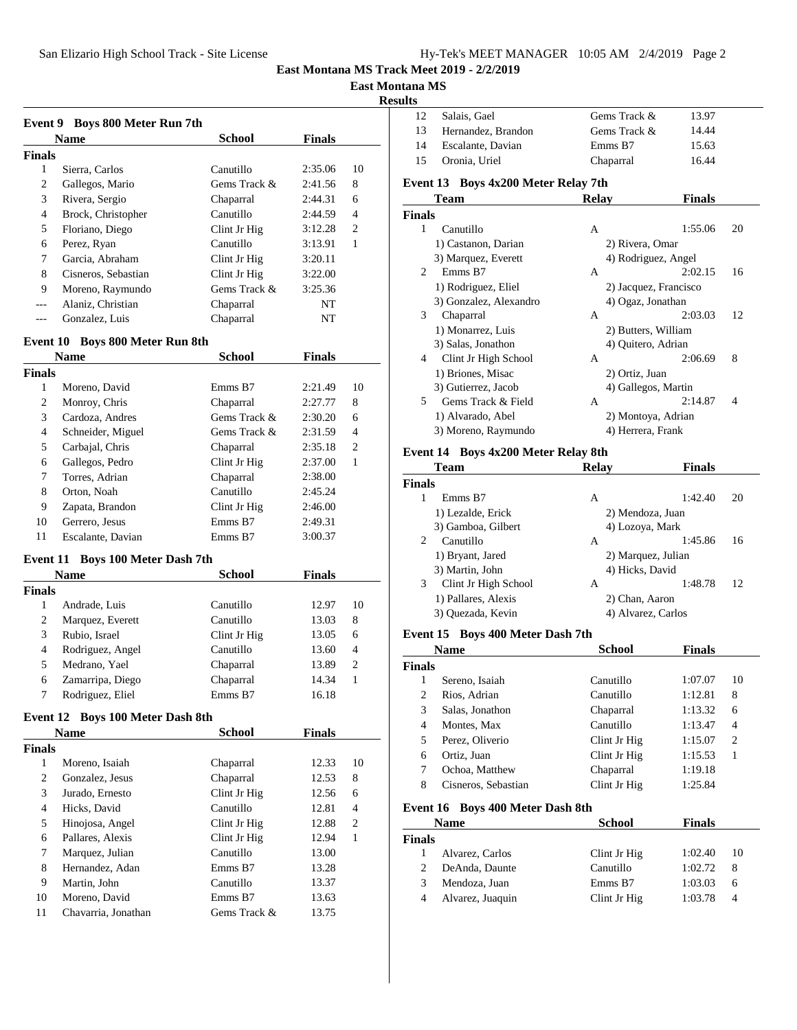| Hy-Tek's MEET MANAGER 10:05 AM 2/4/2019 Page 2 |  |  |  |
|------------------------------------------------|--|--|--|
|------------------------------------------------|--|--|--|

### **East Mont**

| o<br> |
|-------|
|       |

| Event 9            | <b>Boys 800 Meter Run 7th</b>       |               |               |                |
|--------------------|-------------------------------------|---------------|---------------|----------------|
|                    | <b>Name</b>                         | <b>School</b> | Finals        |                |
| <b>Finals</b>      |                                     |               |               |                |
| 1                  | Sierra, Carlos                      | Canutillo     | 2:35.06       | 10             |
| $\overline{c}$     | Gallegos, Mario                     | Gems Track &  | 2:41.56       | 8              |
| 3                  | Rivera, Sergio                      | Chaparral     | 2:44.31       | 6              |
| 4                  | Brock, Christopher                  | Canutillo     | 2:44.59       | 4              |
| 5                  | Floriano, Diego                     | Clint Jr Hig  | 3:12.28       | 2              |
| 6                  | Perez, Ryan                         | Canutillo     | 3:13.91       | $\mathbf{1}$   |
| 7                  | Garcia, Abraham                     | Clint Jr Hig  | 3:20.11       |                |
| 8                  | Cisneros, Sebastian                 | Clint Jr Hig  | 3:22.00       |                |
| 9                  | Moreno, Raymundo                    | Gems Track &  | 3:25.36       |                |
| $---$              | Alaniz, Christian                   | Chaparral     | NT            |                |
| ---                | Gonzalez, Luis                      | Chaparral     | NT            |                |
|                    |                                     |               |               |                |
| Event 10           | <b>Boys 800 Meter Run 8th</b>       |               |               |                |
|                    | <b>Name</b>                         | <b>School</b> | <b>Finals</b> |                |
| <b>Finals</b><br>1 |                                     |               |               | 10             |
|                    | Moreno, David                       | Emms B7       | 2:21.49       |                |
| 2                  | Monroy, Chris                       | Chaparral     | 2:27.77       | 8              |
| 3                  | Cardoza, Andres                     | Gems Track &  | 2:30.20       | 6              |
| 4                  | Schneider, Miguel                   | Gems Track &  | 2:31.59       | 4              |
| 5                  | Carbajal, Chris                     | Chaparral     | 2:35.18       | 2              |
| 6                  | Gallegos, Pedro                     | Clint Jr Hig  | 2:37.00       | $\mathbf{1}$   |
| 7                  | Torres. Adrian                      | Chaparral     | 2:38.00       |                |
| 8                  | Orton, Noah                         | Canutillo     | 2:45.24       |                |
| 9                  | Zapata, Brandon                     | Clint Jr Hig  | 2:46.00       |                |
| 10                 | Gerrero, Jesus                      | Emms B7       | 2:49.31       |                |
| 11                 | Escalante, Davian                   | Emms B7       | 3:00.37       |                |
|                    | Event 11 Boys 100 Meter Dash 7th    |               |               |                |
|                    | Name                                | School        | <b>Finals</b> |                |
| <b>Finals</b>      |                                     |               |               |                |
| 1                  | Andrade, Luis                       | Canutillo     | 12.97         | 10             |
| 2                  | Marquez, Everett                    | Canutillo     | 13.03         | 8              |
| 3                  | Rubio, Israel                       | Clint Jr Hig  | 13.05         | 6              |
| 4                  | Rodriguez, Angel                    | Canutillo     | 13.60         | 4              |
| 5                  | Medrano, Yael                       | Chaparral     | 13.89         | 2              |
| 6                  | Zamarripa, Diego                    | Chaparral     | 14.34         | 1              |
| 7                  | Rodriguez, Eliel                    | Emms B7       | 16.18         |                |
|                    | Event 12 Boys 100 Meter Dash 8th    |               |               |                |
|                    | <b>Name</b>                         | School        | <b>Finals</b> |                |
| <b>Finals</b>      |                                     |               |               |                |
| $\mathbf{1}$       | Moreno, Isaiah                      | Chaparral     | 12.33         | 10             |
| $\overline{c}$     | Gonzalez, Jesus                     | Chaparral     | 12.53         | 8              |
| 3                  | Jurado, Ernesto                     | Clint Jr Hig  | 12.56         | 6              |
| $\overline{4}$     | Hicks, David                        | Canutillo     | 12.81         | $\overline{4}$ |
| 5                  |                                     | Clint Jr Hig  |               | $\overline{c}$ |
| 6                  | Hinojosa, Angel<br>Pallares, Alexis | Clint Jr Hig  | 12.88         | $\mathbf{1}$   |
|                    |                                     | Canutillo     | 12.94         |                |
| 7                  | Marquez, Julian                     |               | 13.00         |                |
| 8                  | Hernandez, Adan                     | Emms B7       | 13.28         |                |
| 9                  | Martin, John                        | Canutillo     | 13.37         |                |
| 10                 | Moreno, David                       | Emms B7       | 13.63         |                |
| 11                 | Chavarria, Jonathan                 | Gems Track &  | 13.75         |                |

| ılts<br>12                                                 | Salais, Gael                                   | Gems Track &            | 13.97         |        |
|------------------------------------------------------------|------------------------------------------------|-------------------------|---------------|--------|
| 13                                                         | Hernandez, Brandon                             | Gems Track &            | 14.44         |        |
| 14                                                         | Escalante, Davian                              | Emms B7                 | 15.63         |        |
| 15                                                         | Oronia, Uriel                                  | Chaparral               | 16.44         |        |
|                                                            |                                                |                         |               |        |
|                                                            | Boys 4x200 Meter Relay 7th<br>Event 13<br>Team | <b>Relay</b>            | <b>Finals</b> |        |
| <b>Finals</b>                                              |                                                |                         |               |        |
| 1                                                          | Canutillo                                      | A                       | 1:55.06       | 20     |
|                                                            | 1) Castanon, Darian                            | 2) Rivera, Omar         |               |        |
|                                                            | 3) Marquez, Everett                            | 4) Rodriguez, Angel     |               |        |
| 2                                                          | Emms B7                                        | A                       | 2:02.15       | 16     |
|                                                            | 1) Rodriguez, Eliel                            | 2) Jacquez, Francisco   |               |        |
|                                                            | 3) Gonzalez, Alexandro                         | 4) Ogaz, Jonathan       |               |        |
| 3                                                          | Chaparral                                      | A                       | 2:03.03       | 12     |
|                                                            | 1) Monarrez, Luis                              | 2) Butters, William     |               |        |
|                                                            | 3) Salas, Jonathon                             | 4) Quitero, Adrian      |               |        |
| 4                                                          | Clint Jr High School                           | A                       | 2:06.69       | 8      |
|                                                            | 1) Briones, Misac                              | 2) Ortiz, Juan          |               |        |
|                                                            | 3) Gutierrez, Jacob                            | 4) Gallegos, Martin     |               |        |
| 5                                                          | Gems Track & Field                             | A                       | 2:14.87       | 4      |
|                                                            | 1) Alvarado, Abel                              | 2) Montoya, Adrian      |               |        |
|                                                            | 3) Moreno, Raymundo                            | 4) Herrera, Frank       |               |        |
|                                                            | Event 14 Boys 4x200 Meter Relay 8th            |                         |               |        |
|                                                            | Team                                           | Relay                   | Finals        |        |
| <b>Finals</b>                                              |                                                |                         |               |        |
| 1                                                          | Emms B7                                        | A                       | 1:42.40       | 20     |
|                                                            | 1) Lezalde, Erick                              | 2) Mendoza, Juan        |               |        |
|                                                            |                                                |                         |               |        |
|                                                            | 3) Gamboa, Gilbert                             | 4) Lozoya, Mark         |               |        |
| 2                                                          | Canutillo                                      | A                       | 1:45.86       | 16     |
|                                                            | 1) Bryant, Jared                               | 2) Marquez, Julian      |               |        |
|                                                            | 3) Martin, John                                | 4) Hicks, David         |               |        |
| 3                                                          | Clint Jr High School                           | A                       | 1:48.78       | 12     |
|                                                            | 1) Pallares, Alexis                            | 2) Chan, Aaron          |               |        |
|                                                            | 3) Quezada, Kevin                              | 4) Alvarez, Carlos      |               |        |
|                                                            | Event 15 Boys 400 Meter Dash 7th               |                         |               |        |
|                                                            | <b>Name</b>                                    | <b>School</b>           | <b>Finals</b> |        |
|                                                            |                                                |                         |               |        |
| 1                                                          | Sereno, Isaiah                                 | Canutillo               | 1:07.07       | 10     |
| $\boldsymbol{2}$                                           | Rios, Adrian                                   | Canutillo               | 1:12.81       | 8      |
| 3                                                          | Salas, Jonathon                                | Chaparral               | 1:13.32       | 6      |
| 4                                                          | Montes, Max                                    | Canutillo               | 1:13.47       | 4      |
| 5                                                          | Perez, Oliverio                                | Clint Jr Hig            | 1:15.07       | 2      |
| 6                                                          | Ortiz, Juan                                    | Clint Jr Hig            | 1:15.53       | 1      |
| 7                                                          | Ochoa, Matthew                                 | Chaparral               | 1:19.18       |        |
| 8                                                          | Cisneros, Sebastian                            | Clint Jr Hig            | 1:25.84       |        |
|                                                            | <b>Boys 400 Meter Dash 8th</b>                 |                         |               |        |
|                                                            | <b>Name</b>                                    | School                  | <b>Finals</b> |        |
|                                                            |                                                |                         |               |        |
| $\mathbf{1}$                                               | Alvarez, Carlos                                | Clint Jr Hig            | 1:02.40       | 10     |
| $\overline{c}$                                             | DeAnda, Daunte                                 | Canutillo               | 1:02.72       | 8      |
| Finals<br>Event 16<br><b>Finals</b><br>3<br>$\overline{4}$ | Mendoza, Juan<br>Alvarez, Juaquin              | Emms B7<br>Clint Jr Hig | 1:03.03       | 6<br>4 |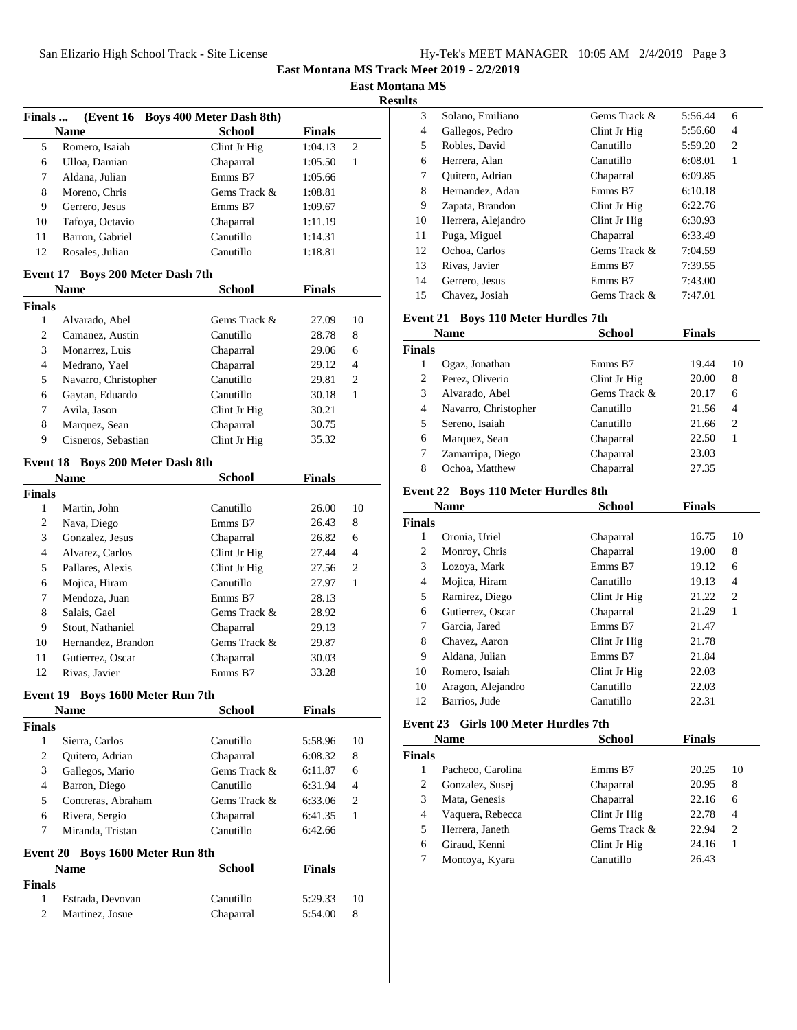| Hy-Tek's MEET MANAGER 10:05 AM 2/4/2019 Page 3 |  |  |  |
|------------------------------------------------|--|--|--|
|------------------------------------------------|--|--|--|

**East Montana MS**

**Results**

| Finals                                |                                  | (Event 16 Boys 400 Meter Dash 8th) |               |              |
|---------------------------------------|----------------------------------|------------------------------------|---------------|--------------|
|                                       | <b>Name</b>                      | <b>School</b>                      | <b>Finals</b> |              |
| 5                                     | Romero, Isaiah                   | Clint Jr Hig                       | 1:04.13       | 2            |
| 6                                     | Ulloa, Damian                    | Chaparral                          | 1:05.50       | 1            |
| 7                                     | Aldana, Julian                   | Emms B7                            | 1:05.66       |              |
| 8                                     | Moreno, Chris                    | Gems Track &                       | 1:08.81       |              |
| 9                                     | Gerrero, Jesus                   | Emms B7                            | 1:09.67       |              |
| 10                                    | Tafoya, Octavio                  | Chaparral                          | 1:11.19       |              |
| 11                                    | Barron, Gabriel                  | Canutillo                          | 1:14.31       |              |
| 12                                    | Rosales, Julian                  | Canutillo                          | 1:18.81       |              |
| Event 17                              | <b>Boys 200 Meter Dash 7th</b>   |                                    |               |              |
|                                       | <b>Name</b>                      | School                             | <b>Finals</b> |              |
| <b>Finals</b>                         |                                  |                                    |               |              |
| 1                                     | Alvarado, Abel                   | Gems Track &                       | 27.09         | 10           |
| $\overline{c}$                        | Camanez, Austin                  | Canutillo                          | 28.78         | 8            |
| 3                                     | Monarrez, Luis                   | Chaparral                          | 29.06         | 6            |
| $\overline{4}$                        | Medrano, Yael                    | Chaparral                          | 29.12         | 4            |
| 5                                     | Navarro, Christopher             | Canutillo                          | 29.81         | 2            |
| 6                                     | Gaytan, Eduardo                  | Canutillo                          | 30.18         | $\mathbf{1}$ |
| 7                                     | Avila, Jason                     | Clint Jr Hig                       | 30.21         |              |
| 8                                     | Marquez, Sean                    | Chaparral                          | 30.75         |              |
| 9                                     | Cisneros, Sebastian              | Clint Jr Hig                       | 35.32         |              |
| Event 18                              | <b>Boys 200 Meter Dash 8th</b>   |                                    |               |              |
|                                       | <b>Name</b>                      | <b>School</b>                      | <b>Finals</b> |              |
| <b>Finals</b>                         |                                  |                                    |               |              |
| $\mathbf{1}$                          | Martin, John                     | Canutillo                          | 26.00         | 10           |
| $\overline{c}$                        | Nava, Diego                      | Emms B7                            | 26.43         | 8            |
| 3                                     | Gonzalez, Jesus                  | Chaparral                          | 26.82         | 6            |
| $\overline{4}$                        | Alvarez, Carlos                  | Clint Jr Hig                       | 27.44         | 4            |
| 5                                     | Pallares, Alexis                 | Clint Jr Hig                       | 27.56         | 2            |
| 6                                     | Mojica, Hiram                    | Canutillo                          | 27.97         | $\mathbf{1}$ |
| 7                                     | Mendoza, Juan                    | Emms B7                            | 28.13         |              |
| 8                                     | Salais, Gael                     | Gems Track &                       | 28.92         |              |
| 9                                     | Stout, Nathaniel                 | Chaparral                          | 29.13         |              |
| 10                                    | Hernandez, Brandon               | Gems Track &                       | 29.87         |              |
| 11                                    | Gutierrez, Oscar                 | Chaparral                          | 30.03         |              |
| 12                                    | Rivas, Javier                    | Emms B7                            | 33.28         |              |
|                                       | Event 19 Boys 1600 Meter Run 7th |                                    |               |              |
|                                       | <b>Name</b>                      | <b>School</b>                      | <b>Finals</b> |              |
| <b>Finals</b>                         |                                  |                                    |               |              |
| 1                                     | Sierra, Carlos                   | Canutillo                          | 5:58.96       | 10           |
| $\overline{c}$                        | Quitero, Adrian                  | Chaparral                          | 6:08.32       | 8            |
| 3                                     | Gallegos, Mario                  | Gems Track &                       | 6:11.87       | 6            |
| $\overline{4}$                        | Barron, Diego                    | Canutillo                          | 6:31.94       | 4            |
| 5                                     | Contreras, Abraham               | Gems Track &                       | 6:33.06       | 2            |
| 6                                     | Rivera, Sergio                   | Chaparral                          | 6:41.35       | 1            |
| 7                                     | Miranda, Tristan                 | Canutillo                          | 6:42.66       |              |
|                                       | <b>Boys 1600 Meter Run 8th</b>   |                                    |               |              |
|                                       |                                  |                                    | <b>Finals</b> |              |
|                                       | Name                             | <b>School</b>                      |               |              |
|                                       |                                  |                                    |               |              |
| <b>Event 20</b><br><b>Finals</b><br>1 | Estrada, Devovan                 | Canutillo                          | 5:29.33       | 10           |

| w  |                    |              |         |   |
|----|--------------------|--------------|---------|---|
| 3  | Solano, Emiliano   | Gems Track & | 5:56.44 | 6 |
| 4  | Gallegos, Pedro    | Clint Jr Hig | 5:56.60 | 4 |
| 5  | Robles, David      | Canutillo    | 5:59.20 | 2 |
| 6  | Herrera, Alan      | Canutillo    | 6:08.01 | 1 |
| 7  | Quitero, Adrian    | Chaparral    | 6:09.85 |   |
| 8  | Hernandez, Adan    | Emms B7      | 6:10.18 |   |
| 9  | Zapata, Brandon    | Clint Jr Hig | 6:22.76 |   |
| 10 | Herrera, Alejandro | Clint Jr Hig | 6:30.93 |   |
| 11 | Puga, Miguel       | Chaparral    | 6:33.49 |   |
| 12 | Ochoa, Carlos      | Gems Track & | 7:04.59 |   |
| 13 | Rivas, Javier      | Emms B7      | 7:39.55 |   |
| 14 | Gerrero, Jesus     | Emms B7      | 7:43.00 |   |
| 15 | Chavez, Josiah     | Gems Track & | 7:47.01 |   |
|    |                    |              |         |   |

### **Event 21 Boys 110 Meter Hurdles 7th**

| Name   |                      | <b>School</b> | <b>Finals</b> |    |  |
|--------|----------------------|---------------|---------------|----|--|
| Finals |                      |               |               |    |  |
|        | Ogaz, Jonathan       | Emms B7       | 19.44         | 10 |  |
| 2      | Perez, Oliverio      | Clint Jr Hig  | 20.00         | 8  |  |
| 3      | Alvarado, Abel       | Gems Track &  | 20.17         | 6  |  |
| 4      | Navarro, Christopher | Canutillo     | 21.56         | 4  |  |
| 5.     | Sereno, Isaiah       | Canutillo     | 21.66         | 2  |  |
| 6      | Marquez, Sean        | Chaparral     | 22.50         | 1  |  |
|        | Zamarripa, Diego     | Chaparral     | 23.03         |    |  |
| 8      | Ochoa, Matthew       | Chaparral     | 27.35         |    |  |

### **Event 22 Boys 110 Meter Hurdles 8th**

| <b>Name</b> |                   | <b>School</b> | <b>Finals</b> |    |
|-------------|-------------------|---------------|---------------|----|
| Finals      |                   |               |               |    |
| 1           | Oronia, Uriel     | Chaparral     | 16.75         | 10 |
| 2           | Monroy, Chris     | Chaparral     | 19.00         | 8  |
| 3           | Lozova, Mark      | Emms B7       | 19.12         | 6  |
| 4           | Mojica, Hiram     | Canutillo     | 19.13         | 4  |
| 5           | Ramirez, Diego    | Clint Jr Hig  | 21.22         | 2  |
| 6           | Gutierrez, Oscar  | Chaparral     | 21.29         | 1  |
| 7           | Garcia, Jared     | Emms B7       | 21.47         |    |
| 8           | Chavez, Aaron     | Clint Jr Hig  | 21.78         |    |
| 9           | Aldana, Julian    | Emms B7       | 21.84         |    |
| 10          | Romero, Isaiah    | Clint Jr Hig  | 22.03         |    |
| 10          | Aragon, Alejandro | Canutillo     | 22.03         |    |
| 12          | Barrios, Jude     | Canutillo     | 22.31         |    |

### **Event 23 Girls 100 Meter Hurdles 7th**

|                   | <b>School</b> | <b>Finals</b> |    |
|-------------------|---------------|---------------|----|
|                   |               |               |    |
| Pacheco, Carolina | Emms B7       | 20.25         | 10 |
| Gonzalez, Susei   | Chaparral     | 20.95         | 8  |
| Mata, Genesis     | Chaparral     | 22.16         | 6  |
| Vaquera, Rebecca  | Clint Jr Hig  | 22.78         | 4  |
| Herrera, Janeth   | Gems Track &  | 22.94         | 2  |
| Giraud, Kenni     | Clint Jr Hig  | 24.16         | 1  |
| Montoya, Kyara    | Canutillo     | 26.43         |    |
|                   | <b>Name</b>   |               |    |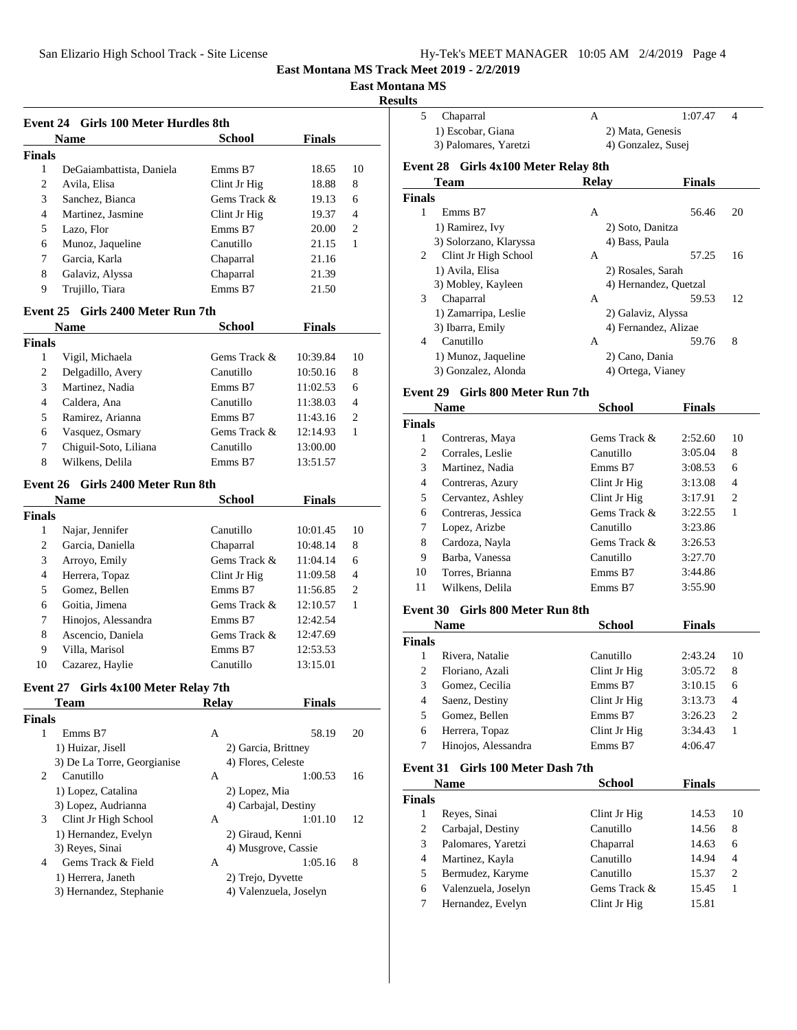| Hy-Tek's MEET MANAGER 10:05 AM 2/4/2019 Page 4 |  |  |  |
|------------------------------------------------|--|--|--|
|------------------------------------------------|--|--|--|

#### **East Montana MS**

#### **Result**

|                 | Event 24 Girls 100 Meter Hurdles 8th |                        |               |                |
|-----------------|--------------------------------------|------------------------|---------------|----------------|
|                 | <b>Name</b>                          | <b>School</b>          | <b>Finals</b> |                |
| <b>Finals</b>   |                                      |                        |               |                |
| $\mathbf{1}$    | DeGaiambattista, Daniela             | Emms B7                | 18.65         | 10             |
| 2               | Avila, Elisa                         | Clint Jr Hig           | 18.88         | 8              |
| 3               | Sanchez, Bianca                      | Gems Track &           | 19.13         | 6              |
| 4               | Martinez, Jasmine                    | Clint Jr Hig           | 19.37         | 4              |
| 5               | Lazo, Flor                           | Emms B7                | 20.00         | 2              |
| 6               | Munoz, Jaqueline                     | Canutillo              | 21.15         | 1              |
| 7               | Garcia, Karla                        | Chaparral              | 21.16         |                |
| 8               | Galaviz, Alyssa                      | Chaparral              | 21.39         |                |
| 9               | Trujillo, Tiara                      | Emms B7                | 21.50         |                |
|                 | Event 25 Girls 2400 Meter Run 7th    |                        |               |                |
|                 | Name                                 | <b>School</b>          | <b>Finals</b> |                |
| <b>Finals</b>   |                                      |                        |               |                |
| 1               | Vigil, Michaela                      | Gems Track &           | 10:39.84      | 10             |
| 2               | Delgadillo, Avery                    | Canutillo              | 10:50.16      | 8              |
| 3               | Martinez, Nadia                      | Emms B7                | 11:02.53      | 6              |
| 4               | Caldera, Ana                         | Canutillo              | 11:38.03      | $\overline{4}$ |
| 5               | Ramirez, Arianna                     | Emms B7                | 11:43.16      | 2              |
| 6               | Vasquez, Osmary                      | Gems Track &           | 12:14.93      | 1              |
| 7               | Chiguil-Soto, Liliana                | Canutillo              | 13:00.00      |                |
| 8               | Wilkens, Delila                      | Emms B7                | 13:51.57      |                |
|                 |                                      |                        |               |                |
| <b>Event 26</b> | - Girls 2400 Meter Run 8th           |                        |               |                |
|                 | <b>Name</b>                          | School                 | Finals        |                |
| <b>Finals</b>   |                                      |                        |               |                |
| 1               | Najar, Jennifer                      | Canutillo              | 10:01.45      | 10             |
| 2               | Garcia, Daniella                     | Chaparral              | 10:48.14      | 8              |
| 3               | Arroyo, Emily                        | Gems Track &           | 11:04.14      | 6              |
| 4               | Herrera, Topaz                       | Clint Jr Hig           | 11:09.58      | 4              |
| 5               | Gomez, Bellen                        | Emms B7                | 11:56.85      | 2              |
| 6               | Goitia, Jimena                       | Gems Track &           | 12:10.57      | $\mathbf{1}$   |
| 7               | Hinojos, Alessandra                  | Emms B7                | 12:42.54      |                |
| 8               | Ascencio, Daniela                    | Gems Track &           | 12:47.69      |                |
| 9               | Villa, Marisol                       | Emms B7                | 12:53.53      |                |
| 10              | Cazarez, Haylie                      | Canutillo              | 13:15.01      |                |
|                 | Event 27 Girls 4x100 Meter Relay 7th |                        |               |                |
|                 | <u>l'eam</u>                         | Kelay                  | r ınaıs       |                |
| Finals          |                                      |                        |               |                |
| 1               | Emms B7                              | A                      | 58.19         | 20             |
|                 | 1) Huizar, Jisell                    | 2) Garcia, Brittney    |               |                |
|                 | 3) De La Torre, Georgianise          | 4) Flores, Celeste     |               |                |
| 2               | Canutillo                            | A                      | 1:00.53       | 16             |
|                 | 1) Lopez, Catalina                   | 2) Lopez, Mia          |               |                |
|                 | 3) Lopez, Audrianna                  | 4) Carbajal, Destiny   |               |                |
| 3               | Clint Jr High School                 | A                      | 1:01.10       | 12             |
|                 | 1) Hernandez, Evelyn                 | 2) Giraud, Kenni       |               |                |
|                 | 3) Reyes, Sinai                      | 4) Musgrove, Cassie    |               |                |
| 4               | Gems Track & Field                   | A                      | 1:05.16       | 8              |
|                 | 1) Herrera, Janeth                   | 2) Trejo, Dyvette      |               |                |
|                 | 3) Hernandez, Stephanie              | 4) Valenzuela, Joselyn |               |                |

| ults          |                                      |                    |                       |                |
|---------------|--------------------------------------|--------------------|-----------------------|----------------|
| 5             | Chaparral                            | A                  | 1:07.47               | $\overline{4}$ |
|               | 1) Escobar, Giana                    | 2) Mata, Genesis   |                       |                |
|               | 3) Palomares, Yaretzi                | 4) Gonzalez, Susej |                       |                |
|               | Event 28 Girls 4x100 Meter Relay 8th |                    |                       |                |
|               | Team                                 | Relay              | <b>Finals</b>         |                |
| <b>Finals</b> |                                      |                    |                       |                |
| 1             | Emms B7                              | A                  | 56.46                 | 20             |
|               | 1) Ramirez, Ivy                      | 2) Soto, Danitza   |                       |                |
|               | 3) Solorzano, Klaryssa               | 4) Bass, Paula     |                       |                |
| 2             | Clint Jr High School                 | A                  | 57.25                 | 16             |
|               | 1) Avila, Elisa                      | 2) Rosales, Sarah  |                       |                |
|               | 3) Mobley, Kayleen                   |                    | 4) Hernandez, Quetzal |                |
| 3             | Chaparral                            | A                  | 59.53                 | 12             |
|               | 1) Zamarripa, Leslie                 | 2) Galaviz, Alyssa |                       |                |
|               | 3) Ibarra, Emily                     |                    | 4) Fernandez, Alizae  |                |
| 4             | Canutillo                            | A                  | 59.76                 | 8              |
|               | 1) Munoz, Jaqueline                  | 2) Cano, Dania     |                       |                |

3) Gonzalez, Alonda 4) Ortega, Vianey

#### **Event 29 Girls 800 Meter Run 7th**

| Name               | <b>School</b> | <b>Finals</b> |                |
|--------------------|---------------|---------------|----------------|
| <b>Finals</b>      |               |               |                |
| Contreras, Maya    | Gems Track &  | 2:52.60       | 10             |
| Corrales, Leslie   | Canutillo     | 3:05.04       | 8              |
| Martinez, Nadia    | Emms B7       | 3:08.53       | 6              |
| Contreras, Azury   | Clint Jr Hig  | 3:13.08       | 4              |
| Cervantez, Ashley  | Clint Jr Hig  | 3:17.91       | $\overline{c}$ |
| Contreras, Jessica | Gems Track &  | 3:22.55       | 1              |
| Lopez, Arizbe      | Canutillo     | 3:23.86       |                |
| Cardoza, Nayla     | Gems Track &  | 3:26.53       |                |
| Barba, Vanessa     | Canutillo     | 3:27.70       |                |
| Torres, Brianna    | Emms B7       | 3:44.86       |                |
| Wilkens, Delila    | Emms B7       | 3:55.90       |                |
|                    |               |               |                |

#### **Event 30 Girls 800 Meter Run 8th**

|                        | <b>Name</b>         | School       | <b>Finals</b> |                |
|------------------------|---------------------|--------------|---------------|----------------|
| <b>Finals</b>          |                     |              |               |                |
|                        | Rivera, Natalie     | Canutillo    | 2:43.24       | 10             |
| $\mathfrak{D}_{\cdot}$ | Floriano, Azali     | Clint Jr Hig | 3:05.72       | 8              |
| 3                      | Gomez, Cecilia      | Emms B7      | 3:10.15       | 6              |
| 4                      | Saenz, Destiny      | Clint Jr Hig | 3:13.73       | $\overline{4}$ |
| 5                      | Gomez, Bellen       | Emms B7      | 3:26.23       | $\overline{2}$ |
| 6                      | Herrera, Topaz      | Clint Jr Hig | 3:34.43       |                |
|                        | Hinojos, Alessandra | Emms B7      | 4:06.47       |                |

### **Event 31 Girls 100 Meter Dash 7th**

|               | <b>Name</b>         | <b>School</b> | <b>Finals</b> |                |
|---------------|---------------------|---------------|---------------|----------------|
| <b>Finals</b> |                     |               |               |                |
|               | Reyes, Sinai        | Clint Jr Hig  | 14.53         | 10             |
| 2             | Carbajal, Destiny   | Canutillo     | 14.56         | 8              |
| 3             | Palomares, Yaretzi  | Chaparral     | 14.63         | 6              |
| 4             | Martinez, Kayla     | Canutillo     | 14.94         | 4              |
| 5             | Bermudez, Karyme    | Canutillo     | 15.37         | $\overline{2}$ |
| 6             | Valenzuela, Joselyn | Gems Track &  | 15.45         | 1              |
|               | Hernandez, Evelyn   | Clint Jr Hig  | 15.81         |                |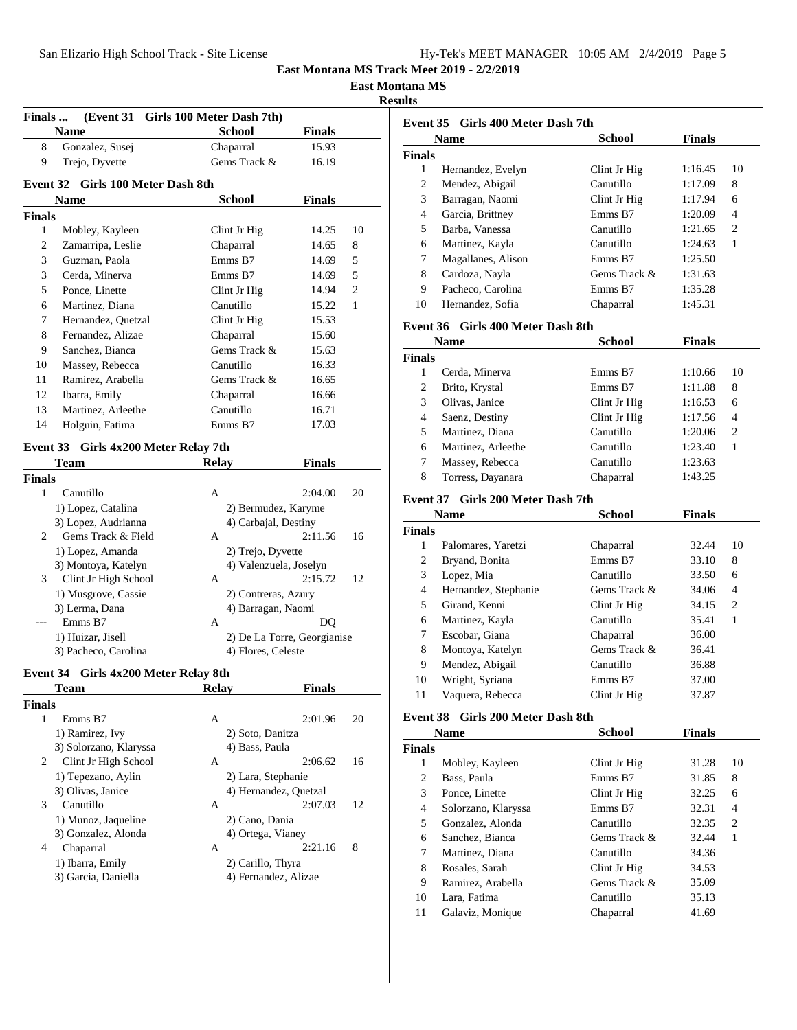**East Montana MS**

**Results**

| Finals        |                                      | (Event 31 Girls 100 Meter Dash 7th) |                             |                |
|---------------|--------------------------------------|-------------------------------------|-----------------------------|----------------|
|               | Name                                 | <b>School</b>                       | <b>Finals</b>               |                |
| 8             | Gonzalez, Susej                      | Chaparral                           | 15.93                       |                |
| 9             | Trejo, Dyvette                       | Gems Track &                        | 16.19                       |                |
|               | Event 32 Girls 100 Meter Dash 8th    |                                     |                             |                |
|               | Name                                 | School                              | <b>Finals</b>               |                |
| <b>Finals</b> |                                      |                                     |                             |                |
| 1             | Mobley, Kayleen                      | Clint Jr Hig                        | 14.25                       | 10             |
| 2             | Zamarripa, Leslie                    | Chaparral                           | 14.65                       | 8              |
| 3             | Guzman, Paola                        | Emms B7                             | 14.69                       | 5              |
| 3             | Cerda, Minerva                       | Emms B7                             | 14.69                       | 5              |
| 5             | Ponce, Linette                       | Clint Jr Hig                        | 14.94                       | $\overline{c}$ |
| 6             | Martinez, Diana                      | Canutillo                           | 15.22                       | $\mathbf{1}$   |
| 7             | Hernandez, Quetzal                   | Clint Jr Hig                        | 15.53                       |                |
| 8             | Fernandez, Alizae                    | Chaparral                           | 15.60                       |                |
| 9             | Sanchez, Bianca                      | Gems Track &                        | 15.63                       |                |
| 10            | Massey, Rebecca                      | Canutillo                           | 16.33                       |                |
| 11            | Ramirez, Arabella                    | Gems Track &                        | 16.65                       |                |
| 12            | Ibarra, Emily                        | Chaparral                           | 16.66                       |                |
| 13            | Martinez, Arleethe                   | Canutillo                           | 16.71                       |                |
| 14            | Holguin, Fatima                      | Emms B7                             | 17.03                       |                |
|               |                                      |                                     |                             |                |
|               | Event 33 Girls 4x200 Meter Relay 7th |                                     |                             |                |
|               | Team                                 | <b>Relay</b>                        | <b>Finals</b>               |                |
| <b>Finals</b> |                                      |                                     |                             |                |
| 1             | Canutillo                            | A                                   | 2:04.00                     | 20             |
|               | 1) Lopez, Catalina                   | 2) Bermudez, Karyme                 |                             |                |
|               | 3) Lopez, Audrianna                  | 4) Carbajal, Destiny                |                             |                |
| 2             | Gems Track & Field                   | A                                   | 2:11.56                     | 16             |
|               | 1) Lopez, Amanda                     | 2) Trejo, Dyvette                   |                             |                |
|               | 3) Montoya, Katelyn                  | 4) Valenzuela, Joselyn              |                             |                |
| 3             | Clint Jr High School                 | A                                   | 2:15.72                     | 12             |
|               | 1) Musgrove, Cassie                  | 2) Contreras, Azury                 |                             |                |
|               | 3) Lerma, Dana                       | 4) Barragan, Naomi                  |                             |                |
| $---$         | Emms B7                              | A                                   | DO                          |                |
|               | 1) Huizar, Jisell                    |                                     | 2) De La Torre, Georgianise |                |
|               | 3) Pacheco, Carolina                 | 4) Flores, Celeste                  |                             |                |
|               | Event 34 Girls 4x200 Meter Relay 8th |                                     |                             |                |
|               | Team                                 | <b>Relay</b>                        | <b>Finals</b>               |                |
| <b>Finals</b> |                                      |                                     |                             |                |
| $\mathbf{1}$  | Emms B7                              | A                                   | 2:01.96                     | 20             |
|               | 1) Ramirez, Ivy                      | 2) Soto, Danitza                    |                             |                |
|               | 3) Solorzano, Klaryssa               | 4) Bass, Paula                      |                             |                |
| 2             | Clint Jr High School                 | A                                   | 2:06.62                     | 16             |
|               | 1) Tepezano, Aylin                   | 2) Lara, Stephanie                  |                             |                |
|               | 3) Olivas, Janice                    | 4) Hernandez, Quetzal               |                             |                |
| 3             | Canutillo                            | A                                   | 2:07.03                     | 12             |
|               | 1) Munoz, Jaqueline                  | 2) Cano, Dania                      |                             |                |
|               | 3) Gonzalez, Alonda                  | 4) Ortega, Vianey                   |                             |                |
| 4             | Chaparral                            | A                                   | 2:21.16                     | 8              |
|               | 1) Ibarra, Emily                     | 2) Carillo, Thyra                   |                             |                |
|               | 3) Garcia, Daniella                  | 4) Fernandez, Alizae                |                             |                |
|               |                                      |                                     |                             |                |
|               |                                      |                                     |                             |                |

|                 | Event 35 Girls 400 Meter Dash 7th |               |               |              |
|-----------------|-----------------------------------|---------------|---------------|--------------|
|                 | <b>Name</b>                       | School        | <b>Finals</b> |              |
| Finals          |                                   |               |               |              |
| 1               | Hernandez, Evelyn                 | Clint Jr Hig  | 1:16.45       | 10           |
| 2               | Mendez, Abigail                   | Canutillo     | 1:17.09       | 8            |
| 3               | Barragan, Naomi                   | Clint Jr Hig  | 1:17.94       | 6            |
| 4               | Garcia, Brittney                  | Emms B7       | 1:20.09       | 4            |
| 5               | Barba, Vanessa                    | Canutillo     | 1:21.65       | 2            |
| 6               | Martinez, Kayla                   | Canutillo     | 1:24.63       | $\mathbf{1}$ |
| 7               | Magallanes, Alison                | Emms B7       | 1:25.50       |              |
| 8               | Cardoza, Nayla                    | Gems Track &  | 1:31.63       |              |
| 9               | Pacheco, Carolina                 | Emms B7       | 1:35.28       |              |
| 10              | Hernandez, Sofia                  | Chaparral     | 1:45.31       |              |
| <b>Event 36</b> | Girls 400 Meter Dash 8th          |               |               |              |
|                 | Name                              | School        | Finals        |              |
| Finals          |                                   |               |               |              |
| 1               | Cerda, Minerva                    | Emms B7       | 1:10.66       | 10           |
| 2               | Brito, Krystal                    | Emms B7       | 1:11.88       | 8            |
| 3               | Olivas, Janice                    | Clint Jr Hig  | 1:16.53       | 6            |
| 4               | Saenz, Destiny                    | Clint Jr Hig  | 1:17.56       | 4            |
| 5               | Martinez, Diana                   | Canutillo     | 1:20.06       | 2            |
| 6               | Martinez, Arleethe                | Canutillo     | 1:23.40       | 1            |
| 7               | Massey, Rebecca                   | Canutillo     | 1:23.63       |              |
| 8               | Torress, Dayanara                 | Chaparral     | 1:43.25       |              |
|                 |                                   |               |               |              |
|                 | Event 37 Girls 200 Meter Dash 7th |               |               |              |
|                 | <b>Name</b>                       | <b>School</b> | <b>Finals</b> |              |
| <b>Finals</b>   |                                   |               |               |              |
| 1               | Palomares, Yaretzi                | Chaparral     | 32.44         | 10           |
| 2               | Bryand, Bonita                    | Emms B7       | 33.10         | 8            |
| 3               | Lopez, Mia                        | Canutillo     | 33.50         | 6            |
| 4               | Hernandez, Stephanie              | Gems Track &  | 34.06         | 4            |
| 5               | Giraud, Kenni                     | Clint Jr Hig  | 34.15         | 2            |
| 6               | Martinez, Kayla                   | Canutillo     | 35.41         | 1            |
| 7               | Escobar, Giana                    | Chaparral     | 36.00         |              |
| 8               | Montoya, Katelyn                  | Gems Track &  | 36.41         |              |
| 9               | Mendez, Abigail                   | Canutillo     | 36.88         |              |
| 10              | Wright, Syriana                   | Emms B7       | 37.00         |              |
| 11              | Vaquera, Rebecca                  | Clint Jr Hig  | 37.87         |              |
| <b>Event 38</b> | Girls 200 Meter Dash 8th          |               |               |              |
|                 | <b>Name</b>                       | <b>School</b> | <b>Finals</b> |              |
| Finals          |                                   |               |               |              |
| $\mathbf{1}$    | Mobley, Kayleen                   | Clint Jr Hig  | 31.28         | 10           |
| 2               | Bass, Paula                       | Emms B7       | 31.85         | 8            |
| 3               | Ponce, Linette                    | Clint Jr Hig  | 32.25         | 6            |
| $\overline{4}$  | Solorzano, Klaryssa               | Emms B7       | 32.31         | 4            |
| 5               | Gonzalez, Alonda                  | Canutillo     | 32.35         | 2            |
| 6               | Sanchez, Bianca                   | Gems Track &  | 32.44         | 1            |
| 7               | Martinez, Diana                   | Canutillo     | 34.36         |              |
| 8               | Rosales, Sarah                    | Clint Jr Hig  | 34.53         |              |
| 9               | Ramirez, Arabella                 | Gems Track &  | 35.09         |              |
| 10              | Lara, Fatima                      | Canutillo     | 35.13         |              |
| 11              | Galaviz, Monique                  | Chaparral     | 41.69         |              |
|                 |                                   |               |               |              |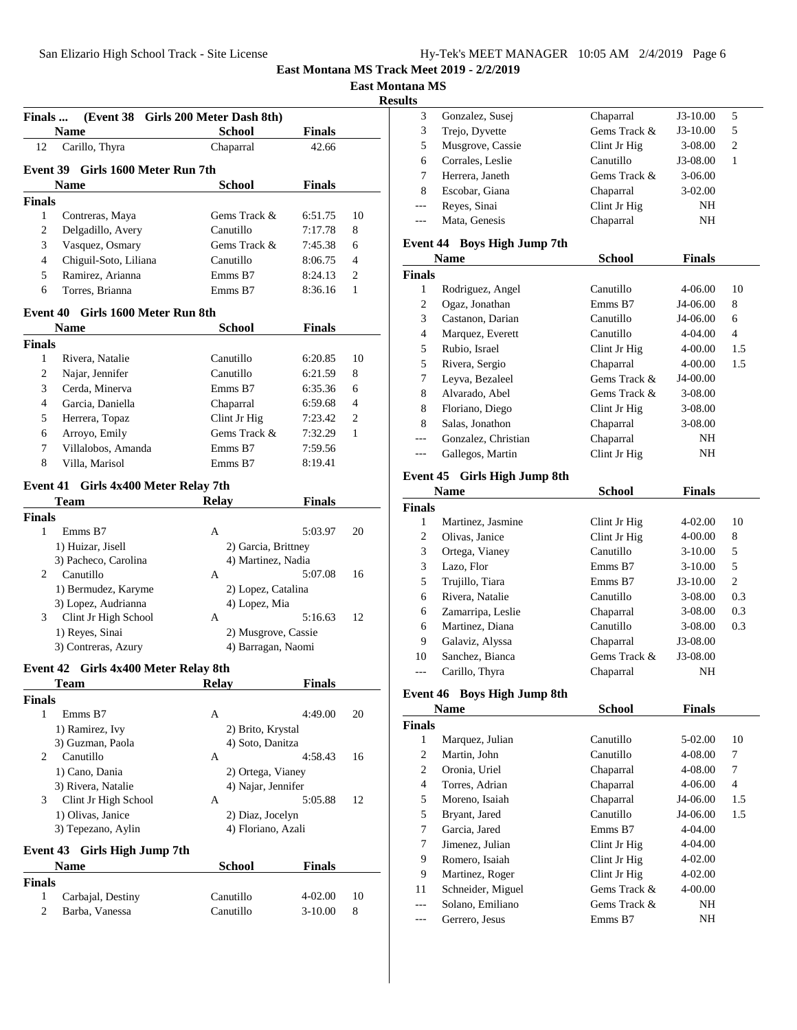| Hy-Tek's MEET MANAGER 10:05 AM 2/4/2019 Page 6 |  |  |  |
|------------------------------------------------|--|--|--|
|------------------------------------------------|--|--|--|

**East Montana MS**

**Results**

|                                | <b>Finals</b><br><b>Name</b>                | (Event 38 Girls 200 Meter Dash 8th)<br><b>School</b> | <b>Finals</b>        |         |
|--------------------------------|---------------------------------------------|------------------------------------------------------|----------------------|---------|
| 12                             | Carillo, Thyra                              | Chaparral                                            | 42.66                |         |
|                                |                                             |                                                      |                      |         |
|                                | Event 39 Girls 1600 Meter Run 7th<br>Name   | <b>School</b>                                        | <b>Finals</b>        |         |
| <b>Finals</b>                  |                                             |                                                      |                      |         |
| 1                              | Contreras, Maya                             | Gems Track &                                         | 6:51.75              | 10      |
| 2                              | Delgadillo, Avery                           | Canutillo                                            | 7:17.78              | 8       |
| 3                              | Vasquez, Osmary                             | Gems Track &                                         | 7:45.38              | 6       |
| $\overline{4}$                 | Chiguil-Soto, Liliana                       | Canutillo                                            | 8:06.75              | 4       |
| 5                              | Ramirez, Arianna                            | Emms B7                                              | 8:24.13              | 2       |
| 6                              | Torres, Brianna                             | Emms B7                                              | 8:36.16              | 1       |
|                                | <b>Event 40</b><br>Girls 1600 Meter Run 8th |                                                      |                      |         |
|                                | <b>Name</b>                                 | <b>School</b>                                        | <b>Finals</b>        |         |
| <b>Finals</b>                  |                                             |                                                      |                      |         |
| $\mathbf{1}$                   | Rivera, Natalie                             | Canutillo                                            | 6:20.85              | 10      |
| 2                              | Najar, Jennifer                             | Canutillo                                            | 6:21.59              | 8       |
| 3                              | Cerda, Minerva                              | Emms B7                                              | 6:35.36              | 6       |
| 4                              | Garcia, Daniella                            | Chaparral                                            | 6:59.68              | 4       |
| 5                              | Herrera, Topaz                              | Clint Jr Hig                                         | 7:23.42              | 2       |
| 6                              | Arroyo, Emily                               | Gems Track &                                         | 7:32.29              | 1       |
| 7                              | Villalobos, Amanda                          | Emms B7                                              | 7:59.56              |         |
| 8                              | Villa, Marisol                              | Emms B7                                              | 8:19.41              |         |
|                                |                                             |                                                      |                      |         |
|                                | Event 41 Girls 4x400 Meter Relay 7th        |                                                      |                      |         |
|                                | Team                                        | <b>Relay</b>                                         | <b>Finals</b>        |         |
| <b>Finals</b>                  |                                             |                                                      |                      |         |
| $\mathbf{1}$                   | Emms B7                                     | A                                                    | 5:03.97              | 20      |
|                                | 1) Huizar, Jisell                           | 2) Garcia, Brittney                                  |                      |         |
|                                | 3) Pacheco, Carolina                        | 4) Martinez, Nadia                                   |                      |         |
| 2                              | Canutillo                                   | A                                                    | 5:07.08              | 16      |
|                                | 1) Bermudez, Karyme                         | 2) Lopez, Catalina                                   |                      |         |
| 3                              | 3) Lopez, Audrianna<br>Clint Jr High School | 4) Lopez, Mia<br>A                                   | 5:16.63              | 12      |
|                                | 1) Reyes, Sinai                             | 2) Musgrove, Cassie                                  |                      |         |
|                                | 3) Contreras, Azury                         | 4) Barragan, Naomi                                   |                      |         |
|                                |                                             |                                                      |                      |         |
|                                | Event 42 Girls 4x400 Meter Relay 8th        |                                                      |                      |         |
|                                | Team                                        | <b>Relay</b>                                         | Finals               |         |
|                                | Emms B7                                     | A                                                    | 4:49.00              |         |
|                                |                                             |                                                      |                      | 20      |
| 1                              |                                             |                                                      |                      |         |
|                                | 1) Ramirez, Ivy                             | 2) Brito, Krystal                                    |                      |         |
|                                | 3) Guzman, Paola                            | 4) Soto, Danitza                                     |                      |         |
| 2                              | Canutillo                                   | A                                                    | 4:58.43              | 16      |
|                                | 1) Cano, Dania                              | 2) Ortega, Vianey                                    |                      |         |
|                                | 3) Rivera, Natalie                          | 4) Najar, Jennifer                                   |                      |         |
| 3                              | Clint Jr High School                        | A                                                    | 5:05.88              | 12      |
|                                | 1) Olivas, Janice                           | 2) Diaz, Jocelyn<br>4) Floriano, Azali               |                      |         |
|                                | 3) Tepezano, Aylin                          |                                                      |                      |         |
|                                | Event 43 Girls High Jump 7th                |                                                      |                      |         |
|                                | <b>Name</b>                                 | <b>School</b>                                        | <b>Finals</b>        |         |
| <b>Finals</b><br><b>Finals</b> |                                             |                                                      |                      |         |
| 1<br>2                         | Carbajal, Destiny<br>Barba, Vanessa         | Canutillo<br>Canutillo                               | 4-02.00<br>$3-10.00$ | 10<br>8 |

|   | Gonzalez, Susei  | Chaparral    | $J3-10.00$  | 5 |  |
|---|------------------|--------------|-------------|---|--|
| 3 | Trejo, Dyvette   | Gems Track & | $J3-10.00$  | 5 |  |
| 5 | Musgrove, Cassie | Clint Jr Hig | $3 - 08.00$ | 2 |  |
| 6 | Corrales, Leslie | Canutillo    | J3-08.00    |   |  |
|   | Herrera, Janeth  | Gems Track & | $3 - 06.00$ |   |  |
| 8 | Escobar, Giana   | Chaparral    | $3-02.00$   |   |  |
|   | Reyes, Sinai     | Clint Jr Hig | NH          |   |  |
|   | Mata, Genesis    | Chaparral    | NΗ          |   |  |
|   |                  |              |             |   |  |

### **Event 44 Boys High Jump 7th**

|        | <b>Name</b>         | <b>School</b> | <b>Finals</b> |     |  |
|--------|---------------------|---------------|---------------|-----|--|
| Finals |                     |               |               |     |  |
| 1      | Rodriguez, Angel    | Canutillo     | 4-06.00       | 10  |  |
| 2      | Ogaz, Jonathan      | Emms B7       | J4-06.00      | 8   |  |
| 3      | Castanon, Darian    | Canutillo     | J4-06.00      | 6   |  |
| 4      | Marquez, Everett    | Canutillo     | $4 - 04.00$   | 4   |  |
| 5      | Rubio, Israel       | Clint Jr Hig  | $4 - 00.00$   | 1.5 |  |
| 5      | Rivera, Sergio      | Chaparral     | 4-00.00       | 1.5 |  |
| 7      | Leyva, Bezaleel     | Gems Track &  | J4-00.00      |     |  |
| 8      | Alvarado, Abel      | Gems Track &  | $3 - 08.00$   |     |  |
| 8      | Floriano, Diego     | Clint Jr Hig  | 3-08.00       |     |  |
| 8      | Salas, Jonathon     | Chaparral     | 3-08.00       |     |  |
|        | Gonzalez, Christian | Chaparral     | NH            |     |  |
|        | Gallegos, Martin    | Clint Jr Hig  | NH            |     |  |
|        |                     |               |               |     |  |

### **Event 45 Girls High Jump 8th**

|        | <b>Name</b>       | <b>School</b> | <b>Finals</b> |     |
|--------|-------------------|---------------|---------------|-----|
| Finals |                   |               |               |     |
| 1      | Martinez, Jasmine | Clint Jr Hig  | $4 - 02.00$   | 10  |
| 2      | Olivas, Janice    | Clint Jr Hig  | $4 - 00.00$   | 8   |
| 3      | Ortega, Vianey    | Canutillo     | $3-10.00$     | 5   |
| 3      | Lazo, Flor        | Emms B7       | $3-10.00$     | 5   |
| 5      | Trujillo, Tiara   | Emms B7       | $J3-10.00$    | 2   |
| 6      | Rivera, Natalie   | Canutillo     | $3 - 08.00$   | 0.3 |
| 6      | Zamarripa, Leslie | Chaparral     | $3 - 08.00$   | 0.3 |
| 6      | Martinez, Diana   | Canutillo     | $3 - 08.00$   | 0.3 |
| 9      | Galaviz, Alyssa   | Chaparral     | J3-08.00      |     |
| 10     | Sanchez, Bianca   | Gems Track &  | J3-08.00      |     |
|        | Carillo, Thyra    | Chaparral     | NH            |     |

### **Event 46 Boys High Jump 8th**

|        | <b>Name</b>       | <b>School</b> | <b>Finals</b> |     |
|--------|-------------------|---------------|---------------|-----|
| Finals |                   |               |               |     |
| 1      | Marquez, Julian   | Canutillo     | 5-02.00       | 10  |
| 2      | Martin, John      | Canutillo     | 4-08.00       | 7   |
| 2      | Oronia, Uriel     | Chaparral     | 4-08.00       | 7   |
| 4      | Torres, Adrian    | Chaparral     | 4-06.00       | 4   |
| 5      | Moreno, Isaiah    | Chaparral     | J4-06.00      | 1.5 |
| 5      | Bryant, Jared     | Canutillo     | J4-06.00      | 1.5 |
| 7      | Garcia, Jared     | Emms B7       | $4 - 04.00$   |     |
| 7      | Jimenez, Julian   | Clint Jr Hig  | $4 - 04.00$   |     |
| 9      | Romero, Isaiah    | Clint Jr Hig  | $4 - 02.00$   |     |
| 9      | Martinez, Roger   | Clint Jr Hig  | $4 - 02.00$   |     |
| 11     | Schneider, Miguel | Gems Track &  | $4 - 00.00$   |     |
| ---    | Solano, Emiliano  | Gems Track &  | NΗ            |     |
|        | Gerrero, Jesus    | Emms B7       | NH            |     |
|        |                   |               |               |     |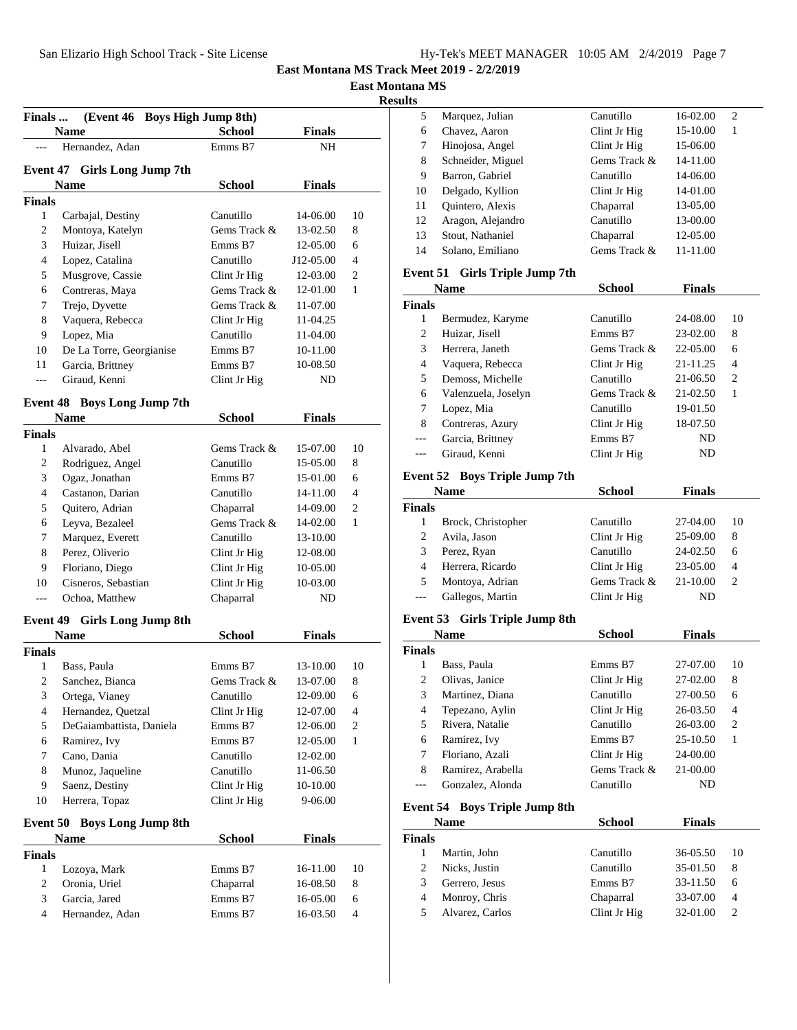**East Montana MS**

**Results**

| (Event 46 Boys High Jump 8th)<br><b>Finals</b> |                                    |               |               |                |
|------------------------------------------------|------------------------------------|---------------|---------------|----------------|
|                                                | <b>Name</b>                        | <b>School</b> | <b>Finals</b> |                |
|                                                | Hernandez, Adan                    | Emms B7       | NH            |                |
|                                                | Event 47 Girls Long Jump 7th       |               |               |                |
|                                                | <b>Name</b>                        | <b>School</b> | <b>Finals</b> |                |
| <b>Finals</b>                                  |                                    |               |               |                |
| $\mathbf{1}$                                   | Carbajal, Destiny                  | Canutillo     | 14-06.00      | 10             |
| 2                                              | Montoya, Katelyn                   | Gems Track &  | 13-02.50      | 8              |
| 3                                              | Huizar, Jisell                     | Emms B7       | 12-05.00      | 6              |
| 4                                              | Lopez, Catalina                    | Canutillo     | J12-05.00     | 4              |
| 5                                              | Musgrove, Cassie                   | Clint Jr Hig  | 12-03.00      | 2              |
| 6                                              | Contreras, Maya                    | Gems Track &  | 12-01.00      | $\mathbf{1}$   |
| 7                                              | Trejo, Dyvette                     | Gems Track &  | 11-07.00      |                |
| 8                                              | Vaquera, Rebecca                   | Clint Jr Hig  | 11-04.25      |                |
| 9                                              | Lopez, Mia                         | Canutillo     | 11-04.00      |                |
| 10                                             | De La Torre, Georgianise           | Emms B7       | 10-11.00      |                |
| 11                                             | Garcia, Brittney                   | Emms B7       | 10-08.50      |                |
| $---$                                          | Giraud, Kenni                      |               | ND            |                |
|                                                |                                    | Clint Jr Hig  |               |                |
|                                                | <b>Event 48 Boys Long Jump 7th</b> |               |               |                |
|                                                | Name                               | <b>School</b> | <b>Finals</b> |                |
| <b>Finals</b>                                  |                                    |               |               |                |
| 1                                              | Alvarado, Abel                     | Gems Track &  | 15-07.00      | 10             |
| 2                                              | Rodriguez, Angel                   | Canutillo     | 15-05.00      | 8              |
| 3                                              | Ogaz, Jonathan                     | Emms B7       | 15-01.00      | 6              |
| 4                                              | Castanon, Darian                   | Canutillo     | 14-11.00      | 4              |
| 5                                              | Quitero, Adrian                    | Chaparral     | 14-09.00      | 2              |
| 6                                              | Leyva, Bezaleel                    | Gems Track &  | 14-02.00      | $\mathbf{1}$   |
| 7                                              | Marquez, Everett                   | Canutillo     | 13-10.00      |                |
| 8                                              | Perez, Oliverio                    | Clint Jr Hig  | 12-08.00      |                |
| 9                                              | Floriano, Diego                    | Clint Jr Hig  | 10-05.00      |                |
| 10                                             | Cisneros, Sebastian                | Clint Jr Hig  | 10-03.00      |                |
| ---                                            | Ochoa, Matthew                     | Chaparral     | ND            |                |
| <b>Event 49</b>                                | <b>Girls Long Jump 8th</b>         |               |               |                |
|                                                | Name                               | <b>School</b> | <b>Finals</b> |                |
| <b>Finals</b>                                  |                                    |               |               |                |
| 1                                              | Bass, Paula                        | Emms B7       | 13-10.00      | 10             |
| 2                                              | Sanchez, Bianca                    | Gems Track &  | 13-07.00      | 8              |
| 3                                              | Ortega, Vianey                     | Canutillo     | 12-09.00      | 6              |
| 4                                              | Hernandez, Quetzal                 | Clint Jr Hig  | 12-07.00      | 4              |
| 5                                              | DeGaiambattista, Daniela           | Emms B7       | 12-06.00      | $\overline{c}$ |
| 6                                              | Ramirez, Ivy                       | Emms B7       | 12-05.00      | $\mathbf{1}$   |
| 7                                              | Cano, Dania                        | Canutillo     | 12-02.00      |                |
| 8                                              | Munoz, Jaqueline                   | Canutillo     | 11-06.50      |                |
| 9                                              | Saenz, Destiny                     | Clint Jr Hig  | 10-10.00      |                |
| 10                                             | Herrera, Topaz                     | Clint Jr Hig  | 9-06.00       |                |
|                                                |                                    |               |               |                |
| <b>Event 50</b>                                | <b>Boys Long Jump 8th</b>          |               | <b>Finals</b> |                |
| <b>Finals</b>                                  | Name                               | <b>School</b> |               |                |
| $\mathbf{1}$                                   | Lozoya, Mark                       | Emms B7       | 16-11.00      | 10             |
| 2                                              | Oronia, Uriel                      | Chaparral     | 16-08.50      | 8              |
| 3                                              | Garcia, Jared                      | Emms B7       | 16-05.00      | 6              |
| 4                                              | Hernandez, Adan                    | Emms B7       | 16-03.50      | 4              |
|                                                |                                    |               |               |                |

| .s |                   |              |          |   |  |
|----|-------------------|--------------|----------|---|--|
| 5  | Marquez, Julian   | Canutillo    | 16-02.00 | 2 |  |
| 6  | Chavez, Aaron     | Clint Jr Hig | 15-10.00 | 1 |  |
| 7  | Hinojosa, Angel   | Clint Jr Hig | 15-06.00 |   |  |
| 8  | Schneider, Miguel | Gems Track & | 14-11.00 |   |  |
| 9  | Barron, Gabriel   | Canutillo    | 14-06.00 |   |  |
| 10 | Delgado, Kyllion  | Clint Jr Hig | 14-01.00 |   |  |
| 11 | Quintero, Alexis  | Chaparral    | 13-05.00 |   |  |
| 12 | Aragon, Alejandro | Canutillo    | 13-00.00 |   |  |
| 13 | Stout, Nathaniel  | Chaparral    | 12-05.00 |   |  |
| 14 | Solano, Emiliano  | Gems Track & | 11-11.00 |   |  |
|    |                   |              |          |   |  |

## **Event 51 Girls Triple Jump 7th**

|                | <b>Name</b>                          | School       | <b>Finals</b> |                |
|----------------|--------------------------------------|--------------|---------------|----------------|
| <b>Finals</b>  |                                      |              |               |                |
| 1              | Bermudez, Karyme                     | Canutillo    | 24-08.00      | 10             |
| 2              | Huizar, Jisell                       | Emms B7      | 23-02.00      | 8              |
| 3              | Herrera, Janeth                      | Gems Track & | 22-05.00      | 6              |
| $\overline{4}$ | Vaquera, Rebecca                     | Clint Jr Hig | 21-11.25      | 4              |
| 5              | Demoss, Michelle                     | Canutillo    | 21-06.50      | 2              |
| 6              | Valenzuela, Joselyn                  | Gems Track & | 21-02.50      | 1              |
| 7              | Lopez, Mia                           | Canutillo    | 19-01.50      |                |
| 8              | Contreras, Azury                     | Clint Jr Hig | 18-07.50      |                |
|                | Garcia, Brittney                     | Emms B7      | ND.           |                |
| ---            | Giraud, Kenni                        | Clint Jr Hig | ND            |                |
|                | <b>Event 52 Boys Triple Jump 7th</b> |              |               |                |
|                | <b>Name</b>                          | School       | <b>Finals</b> |                |
| <b>Finals</b>  |                                      |              |               |                |
| 1              | Brock, Christopher                   | Canutillo    | 27-04.00      | 10             |
| 2              | Avila, Jason                         | Clint Jr Hig | 25-09.00      | 8              |
| 3              | Perez, Ryan                          | Canutillo    | 24-02.50      | 6              |
| 4              | Herrera, Ricardo                     | Clint Jr Hig | 23-05.00      | 4              |
| 5              | Montoya, Adrian                      | Gems Track & | 21-10.00      | $\overline{c}$ |
| $---$          | Gallegos, Martin                     | Clint Jr Hig | ND            |                |
| Event 53       | Girls Triple Jump 8th                |              |               |                |
|                | <b>Name</b>                          | School       | Finals        |                |

| гуание        |                   | эспоог       | гицаіз   |    |
|---------------|-------------------|--------------|----------|----|
| <b>Finals</b> |                   |              |          |    |
| 1             | Bass, Paula       | Emms B7      | 27-07.00 | 10 |
| 2             | Olivas, Janice    | Clint Jr Hig | 27-02.00 | 8  |
| 3             | Martinez, Diana   | Canutillo    | 27-00.50 | 6  |
| 4             | Tepezano, Aylin   | Clint Jr Hig | 26-03.50 | 4  |
| 5             | Rivera, Natalie   | Canutillo    | 26-03.00 | 2  |
| 6             | Ramirez, Ivy      | Emms B7      | 25-10.50 | 1  |
| 7             | Floriano, Azali   | Clint Jr Hig | 24-00.00 |    |
| 8             | Ramirez, Arabella | Gems Track & | 21-00.00 |    |
|               | Gonzalez, Alonda  | Canutillo    | ND       |    |

# **Event 54 Boys Triple Jump 8th**

|               | <b>Name</b>     | <b>School</b> | <b>Finals</b> |    |
|---------------|-----------------|---------------|---------------|----|
| <b>Finals</b> |                 |               |               |    |
|               | Martin, John    | Canutillo     | 36-05.50      | 10 |
|               | Nicks, Justin   | Canutillo     | 35-01.50      | 8  |
| 3             | Gerrero, Jesus  | Emms B7       | 33-11.50      | 6  |
| 4             | Monroy, Chris   | Chaparral     | 33-07.00      | 4  |
| 5             | Alvarez, Carlos | Clint Jr Hig  | 32-01.00      |    |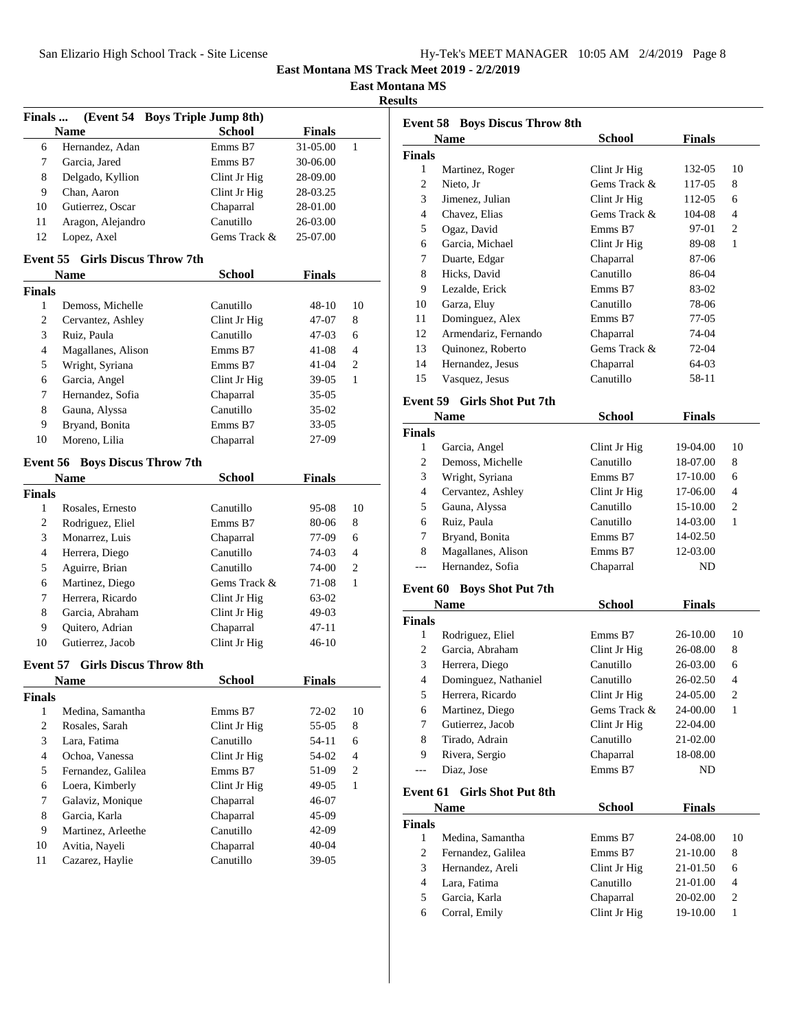| Hy-Tek's MEET MANAGER 10:05 AM 2/4/2019 Page 8 |  |  |  |
|------------------------------------------------|--|--|--|
|------------------------------------------------|--|--|--|

**East Montana MS**

**Results**

| Finals         |                                                      | (Event 54 Boys Triple Jump 8th) |                |
|----------------|------------------------------------------------------|---------------------------------|----------------|
|                | <b>Name</b>                                          | <b>School</b><br><b>Finals</b>  |                |
| 6              | Hernandez, Adan                                      | Emms B7<br>31-05.00             | 1              |
| 7              | Garcia, Jared                                        | Emms B7<br>30-06.00             |                |
| 8              | Delgado, Kyllion                                     | Clint Jr Hig<br>28-09.00        |                |
| 9              | Chan, Aaron                                          | Clint Jr Hig<br>28-03.25        |                |
| 10             | Gutierrez, Oscar                                     | Chaparral<br>28-01.00           |                |
| 11             | Aragon, Alejandro                                    | Canutillo<br>26-03.00           |                |
| 12             | Lopez, Axel                                          | Gems Track &<br>25-07.00        |                |
|                | <b>Event 55 Girls Discus Throw 7th</b>               |                                 |                |
|                | <b>Name</b>                                          | <b>School</b><br><b>Finals</b>  |                |
| <b>Finals</b>  |                                                      |                                 |                |
| $\mathbf{1}$   | Demoss, Michelle                                     | Canutillo<br>48-10              | 10             |
| 2              | Cervantez, Ashley                                    | Clint Jr Hig<br>47-07           | 8              |
| 3              | Ruiz, Paula                                          | Canutillo<br>47-03              | 6              |
| 4              | Magallanes, Alison                                   | Emms B7<br>41-08                | 4              |
| 5              | Wright, Syriana                                      | Emms B7<br>41-04                | 2              |
| 6              | Garcia, Angel                                        | Clint Jr Hig<br>$39-05$         | $\mathbf{1}$   |
| 7              | Hernandez, Sofia                                     | Chaparral<br>35-05              |                |
| 8              | Gauna, Alyssa                                        | Canutillo<br>35-02              |                |
| 9              | Bryand, Bonita                                       | Emms B7<br>33-05                |                |
| 10             | Moreno, Lilia                                        | 27-09                           |                |
|                |                                                      | Chaparral                       |                |
|                | <b>Event 56 Boys Discus Throw 7th</b><br><b>Name</b> | <b>School</b><br><b>Finals</b>  |                |
| <b>Finals</b>  |                                                      |                                 |                |
| $\mathbf{1}$   | Rosales, Ernesto                                     | Canutillo<br>95-08              | 10             |
| 2              | Rodriguez, Eliel                                     | Emms B7<br>80-06                | 8              |
|                |                                                      |                                 |                |
| 3              | Monarrez, Luis                                       | Chaparral<br>77-09              | 6              |
| 4              | Herrera, Diego                                       | Canutillo<br>74-03              | 4              |
| 5              | Aguirre, Brian                                       | Canutillo<br>74-00              | 2              |
| 6              | Martinez, Diego                                      | Gems Track &<br>71-08           | $\mathbf{1}$   |
| 7              | Herrera, Ricardo                                     | Clint Jr Hig<br>63-02           |                |
| 8              | Garcia, Abraham                                      | Clint Jr Hig<br>49-03           |                |
| 9              | Quitero, Adrian                                      | Chaparral<br>47-11              |                |
| 10             | Gutierrez, Jacob                                     | Clint Jr Hig<br>46-10           |                |
| Event 57       |                                                      | <b>Girls Discus Throw 8th</b>   |                |
|                | <b>Name</b>                                          | <b>School</b><br><b>Finals</b>  |                |
| <b>Finals</b>  |                                                      |                                 |                |
| 1              | Medina, Samantha                                     | Emms B7<br>72-02                | 10             |
| $\overline{c}$ | Rosales, Sarah                                       | Clint Jr Hig<br>55-05           | 8              |
| 3              | Lara, Fatima                                         | Canutillo<br>54-11              | 6              |
| 4              | Ochoa, Vanessa                                       | Clint Jr Hig<br>54-02           | $\overline{4}$ |
| 5              | Fernandez, Galilea                                   | Emms B7<br>51-09                | 2              |
| 6              | Loera, Kimberly                                      | Clint Jr Hig<br>49-05           | $\mathbf{1}$   |
| 7              | Galaviz, Monique                                     | Chaparral<br>46-07              |                |
| 8              | Garcia, Karla                                        | Chaparral<br>45-09              |                |
| 9              | Martinez, Arleethe                                   | Canutillo<br>42-09              |                |
| 10             | Avitia, Nayeli                                       | Chaparral<br>$40 - 04$          |                |
| 11             | Cazarez, Haylie                                      | Canutillo<br>$39-05$            |                |
|                |                                                      |                                 |                |
|                |                                                      |                                 |                |

| <b>Event 58 Boys Discus Throw 8th</b>  |                                   |                           |               |                         |  |
|----------------------------------------|-----------------------------------|---------------------------|---------------|-------------------------|--|
|                                        | <b>Name</b>                       | School                    | <b>Finals</b> |                         |  |
| <b>Finals</b>                          |                                   |                           |               |                         |  |
| $\mathbf{1}$                           | Martinez, Roger                   | Clint Jr Hig              | 132-05        | 10                      |  |
| 2                                      | Nieto, Jr                         | Gems Track &              | 117-05        | 8                       |  |
| 3                                      | Jimenez, Julian                   | Clint Jr Hig              | 112-05        | 6                       |  |
| 4                                      | Chavez, Elias                     | Gems Track &              | 104-08        | 4                       |  |
| 5                                      | Ogaz, David                       | Emms B7                   | 97-01         | 2                       |  |
| 6                                      | Garcia, Michael                   | Clint Jr Hig              | 89-08         | 1                       |  |
| 7                                      | Duarte, Edgar                     | Chaparral                 | 87-06         |                         |  |
| 8                                      | Hicks, David                      | Canutillo                 | 86-04         |                         |  |
| 9                                      | Lezalde, Erick                    | Emms B7                   | 83-02         |                         |  |
| 10                                     | Garza, Eluy                       | Canutillo                 | 78-06         |                         |  |
| 11                                     | Dominguez, Alex                   | Emms B7                   | 77-05         |                         |  |
| 12                                     | Armendariz, Fernando              | Chaparral                 | 74-04         |                         |  |
| 13                                     | Quinonez, Roberto                 | Gems Track &              | 72-04         |                         |  |
| 14                                     | Hernandez, Jesus                  | Chaparral                 | 64-03         |                         |  |
| 15                                     | Vasquez, Jesus                    | Canutillo                 | 58-11         |                         |  |
| Event 59                               |                                   |                           |               |                         |  |
|                                        | Girls Shot Put 7th                |                           |               |                         |  |
|                                        | Name                              | <b>School</b>             | <b>Finals</b> |                         |  |
| <b>Finals</b><br>1                     |                                   | Clint Jr Hig              | 19-04.00      | 10                      |  |
| 2                                      | Garcia, Angel<br>Demoss, Michelle | Canutillo                 | 18-07.00      | 8                       |  |
| 3                                      | Wright, Syriana                   | Emms B7                   | 17-10.00      | 6                       |  |
| 4                                      |                                   |                           |               | 4                       |  |
|                                        | Cervantez, Ashley                 | Clint Jr Hig<br>Canutillo | 17-06.00      | 2                       |  |
| 5                                      | Gauna, Alyssa                     |                           | 15-10.00      | 1                       |  |
| 6                                      | Ruiz, Paula                       | Canutillo                 | 14-03.00      |                         |  |
| 7<br>8                                 | Bryand, Bonita                    | Emms B7                   | 14-02.50      |                         |  |
|                                        | Magallanes, Alison                | Emms B7                   | 12-03.00      |                         |  |
| ---                                    | Hernandez, Sofia                  | Chaparral                 | ND            |                         |  |
| <b>Event 60</b>                        | <b>Boys Shot Put 7th</b>          |                           |               |                         |  |
|                                        | Name                              | <b>School</b>             | <b>Finals</b> |                         |  |
| <b>Finals</b>                          |                                   |                           |               |                         |  |
| 1                                      | Rodriguez, Eliel                  | Emms B7                   | 26-10.00      | 10                      |  |
| 2                                      | Garcia, Abraham                   | Clint Jr Hig              | 26-08.00      | 8                       |  |
| 3                                      | Herrera, Diego                    | Canutillo                 | 26-03.00      | 6                       |  |
| 4                                      | Dominguez, Nathaniel              | Canutillo                 | 26-02.50      | 4                       |  |
| 5                                      | Herrera, Ricardo                  | Clint Jr Hig              | 24-05.00      | $\overline{\mathbf{c}}$ |  |
| 6                                      | Martinez, Diego                   | Gems Track &              | 24-00.00      | 1                       |  |
| 7                                      | Gutierrez, Jacob                  | Clint Jr Hig              | 22-04.00      |                         |  |
| 8                                      | Tirado, Adrain                    | Canutillo                 | 21-02.00      |                         |  |
| 9                                      | Rivera, Sergio                    | Chaparral                 | 18-08.00      |                         |  |
| $---$                                  | Diaz, Jose                        | Emms B7                   | ND            |                         |  |
| Event 61                               | <b>Girls Shot Put 8th</b>         |                           |               |                         |  |
| <b>School</b><br><b>Finals</b><br>Name |                                   |                           |               |                         |  |
| <b>Finals</b>                          |                                   |                           |               |                         |  |
| 1                                      | Medina, Samantha                  | Emms B7                   | 24-08.00      | 10                      |  |
| 2                                      | Fernandez, Galilea                | Emms B7                   | 21-10.00      | 8                       |  |
| 3                                      | Hernandez, Areli                  | Clint Jr Hig              | 21-01.50      | 6                       |  |
| $\overline{4}$                         | Lara, Fatima                      | Canutillo                 | 21-01.00      | 4                       |  |
| 5                                      | Garcia, Karla                     | Chaparral                 | 20-02.00      | 2                       |  |
| 6                                      | Corral, Emily                     | Clint Jr Hig              | 19-10.00      | 1                       |  |
|                                        |                                   |                           |               |                         |  |